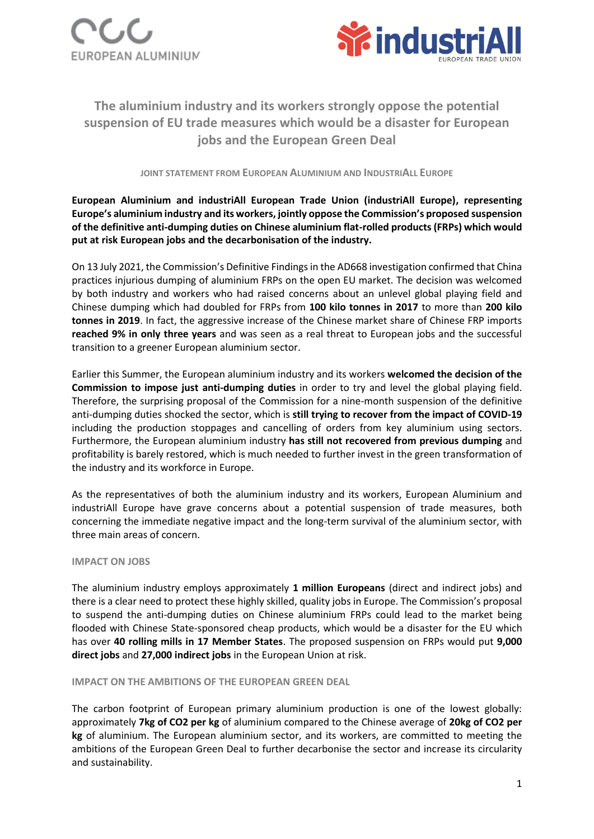



# **The aluminium industry and its workers strongly oppose the potential suspension of EU trade measures which would be a disaster for European jobs and the European Green Deal**

**JOINT STATEMENT FROM EUROPEAN ALUMINIUM AND INDUSTRIALL EUROPE** 

## **European Aluminium and industriAll European Trade Union (industriAll Europe), representing Europe's aluminium industry and its workers, jointly oppose the Commission's proposed suspension of the definitive anti-dumping duties on Chinese aluminium flat-rolled products (FRPs) which would put at risk European jobs and the decarbonisation of the industry.**

On 13 July 2021, the Commission's Definitive Findings in the AD668 investigation confirmed that China practices injurious dumping of aluminium FRPs on the open EU market. The decision was welcomed by both industry and workers who had raised concerns about an unlevel global playing field and Chinese dumping which had doubled for FRPs from **100 kilo tonnes in 2017** to more than **200 kilo tonnes in 2019**. In fact, the aggressive increase of the Chinese market share of Chinese FRP imports **reached 9% in only three years** and was seen as a real threat to European jobs and the successful transition to a greener European aluminium sector.

Earlier this Summer, the European aluminium industry and its workers **welcomed the decision of the Commission to impose just anti-dumping duties** in order to try and level the global playing field. Therefore, the surprising proposal of the Commission for a nine-month suspension of the definitive anti-dumping duties shocked the sector, which is **still trying to recover from the impact of COVID-19** including the production stoppages and cancelling of orders from key aluminium using sectors. Furthermore, the European aluminium industry **has still not recovered from previous dumping** and profitability is barely restored, which is much needed to further invest in the green transformation of the industry and its workforce in Europe.

As the representatives of both the aluminium industry and its workers, European Aluminium and industriAll Europe have grave concerns about a potential suspension of trade measures, both concerning the immediate negative impact and the long-term survival of the aluminium sector, with three main areas of concern.

## **IMPACT ON JOBS**

The aluminium industry employs approximately **1 million Europeans** (direct and indirect jobs) and there is a clear need to protect these highly skilled, quality jobs in Europe. The Commission's proposal to suspend the anti-dumping duties on Chinese aluminium FRPs could lead to the market being flooded with Chinese State-sponsored cheap products, which would be a disaster for the EU which has over **40 rolling mills in 17 Member States**. The proposed suspension on FRPs would put **9,000 direct jobs** and **27,000 indirect jobs** in the European Union at risk.

## **IMPACT ON THE AMBITIONS OF THE EUROPEAN GREEN DEAL**

The carbon footprint of European primary aluminium production is one of the lowest globally: approximately **7kg of CO2 per kg** of aluminium compared to the Chinese average of **20kg of CO2 per kg** of aluminium. The European aluminium sector, and its workers, are committed to meeting the ambitions of the European Green Deal to further decarbonise the sector and increase its circularity and sustainability.